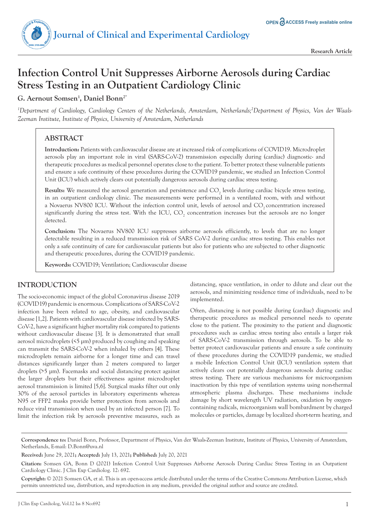

# **Infection Control Unit Suppresses Airborne Aerosols during Cardiac Stress Testing in an Outpatient Cardiology Clinic**

**G. Aernout Somsen1 , Daniel Bonn2\***

*1 Department of Cardiology, Cardiology Centers of the Netherlands, Amsterdam, Netherlands;2 Department of Physics, Van der Waals-Zeeman Institute, Institute of Physics, University of Amsterdam, Netherlands*

# **ABSTRACT**

**Introduction:** Patients with cardiovascular disease are at increased risk of complications of COVID19. Microdroplet aerosols play an important role in viral (SARS-CoV-2) transmission especially during (cardiac) diagnostic- and therapeutic procedures as medical personnel operates close to the patient. To better protect these vulnerable patients and ensure a safe continuity of these procedures during the COVID19 pandemic, we studied an Infection Control Unit (ICU) which actively clears out potentially dangerous aerosols during cardiac stress testing.

 $\textbf{Results:}$  We measured the aerosol generation and persistence and  $\text{CO}_2$  levels during cardiac bicycle stress testing, in an outpatient cardiology clinic. The measurements were performed in a ventilated room, with and without a Novaerus NV800 ICU. Without the infection control unit, levels of aerosol and CO<sub>2</sub> concentration increased significantly during the stress test. With the ICU,  $\text{CO}_2$  concentration increases but the aerosols are no longer detected.

**Conclusion:** The Novaerus NV800 ICU suppresses airborne aerosols efficiently, to levels that are no longer detectable resulting in a reduced transmission risk of SARS CoV-2 during cardiac stress testing. This enables not only a safe continuity of care for cardiovascular patients but also for patients who are subjected to other diagnostic and therapeutic procedures, during the COVID19 pandemic.

**Keywords:** COVID19; Ventilation; Cardiovascular disease

# **INTRODUCTION**

The socio-economic impact of the global Coronavirus disease 2019 (COVID19) pandemic is enormous. Complications of SARS-CoV-2 infection have been related to age, obesity, and cardiovascular disease [1,2]. Patients with cardiovascular disease infected by SARS-CoV-2, have a significant higher mortality risk compared to patients without cardiovascular disease [3]. It is demonstrated that small aerosol microdroplets (<5 μm) produced by coughing and speaking can transmit the SARS-CoV-2 when inhaled by others [4]. These microdroplets remain airborne for a longer time and can travel distances significantly larger than 2 meters compared to larger droplets (>5 μm). Facemasks and social distancing protect against the larger droplets but their effectiveness against microdroplet aerosol transmission is limited [5,6]. Surgical masks filter out only 30% of the aerosol particles in laboratory experiments whereas N95 or FFP2 masks provide better protection from aerosols and reduce viral transmission when used by an infected person [7]. To limit the infection risk by aerosols preventive measures, such as distancing, space ventilation, in order to dilute and clear out the aerosols, and minimizing residence time of individuals, need to be implemented.

Often, distancing is not possible during (cardiac) diagnostic and therapeutic procedures as medical personnel needs to operate close to the patient. The proximity to the patient and diagnostic procedures such as cardiac stress testing also entails a larger risk of SARS-CoV-2 transmission through aerosols. To be able to better protect cardiovascular patients and ensure a safe continuity of these procedures during the COVID19 pandemic, we studied a mobile Infection Control Unit (ICU) ventilation system that actively clears out potentially dangerous aerosols during cardiac stress testing. There are various mechanisms for microorganism inactivation by this type of ventilation systems using non-thermal atmospheric plasma discharges. These mechanisms include damage by short wavelength UV radiation, oxidation by oxygencontaining radicals, microorganism wall bombardment by charged molecules or particles, damage by localized short-term heating, and

**Correspondence to:** Daniel Bonn, Professor, Department of Physics, Van der Waals-Zeeman Institute, Institute of Physics, University of Amsterdam, Netherlands, E-mail: D.Bonn@uva.nl

**Received:** June 29, 2021**; Accepted:** July 13, 2021**; Published:** July 20, 2021

**Copyright:** © 2021 Somsen GA, et al. This is an open-access article distributed under the terms of the Creative Commons Attribution License, which permits unrestricted use, distribution, and reproduction in any medium, provided the original author and source are credited.

**Citation:** Somsen GA, Bonn D (2021) Infection Control Unit Suppresses Airborne Aerosols During Cardiac Stress Testing in an Outpatient Cardiology Clinic. J Clin Exp Cardiolog. 12: 692.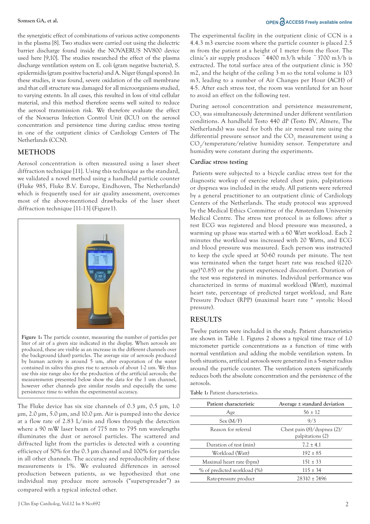the synergistic effect of combinations of various active components in the plasma [8]. Two studies were carried out using the dielectric barrier discharge found inside the NOVAERUS NV800 device used here [9,10]. The studies researched the effect of the plasma discharge ventilation system on E. coli (gram negative bacteria), S. epidermidis (gram positive bacteria) and A. Niger (fungal spores). In these studies, it was found, severe oxidation of the cell membrane and that cell structure was damaged for all microorganisms studied, to varying extents. In all cases, this resulted in loss of vital cellular material, and this method therefore seems well suited to reduce the aerosol transmission risk. We therefore evaluate the effect of the Novaerus Infection Control Unit (ICU) on the aerosol concentration and persistence time during cardiac stress testing in one of the outpatient clinics of Cardiology Centers of The Netherlands (CCN).

### **METHODS**

Aerosol concentration is often measured using a laser sheet diffraction technique [11]. Using this technique as the standard, we validated a novel method using a handheld particle counter (Fluke 985, Fluke B.V. Europe, Eindhoven, The Netherlands) which is frequently used for air quality assessment, overcomes most of the above-mentioned drawbacks of the laser sheet diffraction technique [11-13] (Figure1).



The Fluke device has six size channels of 0.3 μm, 0.5 μm, 1.0 μm, 2.0 μm, 5.0 μm, and 10.0 μm. Air is pumped into the device at a flow rate of 2.83 L/min and flows through the detection where a 90 mW laser beam of 775 nm to 795 nm wavelengths illuminates the dust or aerosol particles. The scattered and diffracted light from the particles is detected with a counting efficiency of 50% for the 0.3 μm channel and 100% for particles in all other channels. The accuracy and reproducibility of these measurements is 1%. We evaluated differences in aerosol production between patients, as we hypothesized that one individual may produce more aerosols ("superspreader") as persistence time to within the experimental accuracy. compared with a typical infected other.

however other channels give similar results and especially the same

#### J Clin Exp Cardiolog, Vol.12 Iss 8 No:692

# **Somsen GA, et al. COPEN ACCESS Freely available online**

The experimental facility in the outpatient clinic of CCN is a 4.4.3 m3 exercise room where the particle counter is placed 2.5 m from the patient at a height of 1 meter from the floor. The clinic's air supply produces  $\degree$ 4400 m3/h while  $\degree$ 3700 m3/h is extracted. The total surface area of the outpatient clinic is 350 m2, and the height of the ceiling 3 m so the total volume is 103 m3, leading to a number of Air Changes per Hour (ACH) of 4-5. After each stress test, the room was ventilated for an hour to avoid an effect on the following test.

During aerosol concentration and persistence measurement,  $\mathrm{CO}_\mathrm{2}$  was simultaneously determined under different ventilation conditions. A handheld Testo 440 dP (Testo BV, Almere, The Netherlands) was used for both the air renewal rate using the differential pressure sensor and the  $\mathrm{CO}_2$  measurement using a CO<sub>2</sub>/temperature/relative humidity sensor. Temperature and humidity were constant during the experiments.

#### **Cardiac stress testing**

 Patients were subjected to a bicycle cardiac stress test for the diagnostic workup of exercise related chest pain, palpitations or dyspnea was included in the study. All patients were referred by a general practitioner to an outpatient clinic of Cardiology Centers of the Netherlands. The study protocol was approved by the Medical Ethics Committee of the Amsterdam University Medical Centre. The stress test protocol is as follows: after a rest ECG was registered and blood pressure was measured, a warming up phase was started with a 60 Watt workload. Each 2 minutes the workload was increased with 20 Watts, and ECG and blood pressure was measured. Each person was instructed to keep the cycle speed at 50-60 rounds per minute. The test was terminated when the target heart rate was reached ((220 age)\*0.85) or the patient experienced discomfort. Duration of the test was registered in minutes. Individual performance was characterized in terms of maximal workload (Watt), maximal heart rate, percentage of predicted target workload, and Rate Pressure Product (RPP) (maximal heart rate \* systolic blood pressure).

#### **RESULTS**

Twelve patients were included in the study. Patient characteristics are shown in Table 1. Figures 2 shows a typical time trace of 1.0 micrometer particle concentrations as a function of time with normal ventilation and adding the mobile ventilation system. In both situations, artificial aerosols were generated in a 5-meter radius around the particle counter. The ventilation system significantly reduces both the absolute concentration and the persistence of the aerosols.

**Table 1:** Patient characteristics.

| Patient characteristic      | Average ± standard deviation                         |
|-----------------------------|------------------------------------------------------|
| Age                         | $56 \pm 12$                                          |
| Sex(M/F)                    | 9/3                                                  |
| Reason for referral         | Chest pain $(8)/dy$ spnea $(2)/$<br>palpitations (2) |
| Duration of test (min)      | $7.2 \pm 4.1$                                        |
| Workload (Watt)             | $192 \pm 85$                                         |
| Maximal heart rate (bpm)    | $151 \pm 33$                                         |
| % of predicted workload (%) | $115 \pm 34$                                         |
| Rate-pressure product       | $28310 \pm 7496$                                     |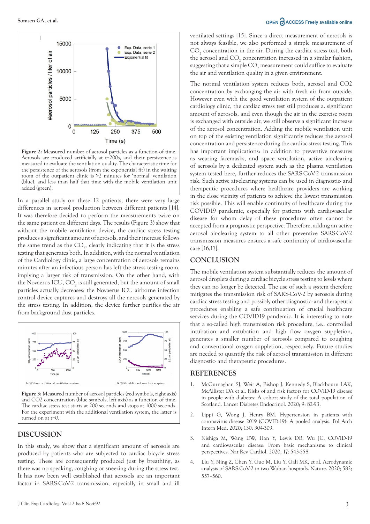

**Figure 2:** Measured number of aerosol particles as a function of time. Aerosols are produced artificially at t=200s, and their persistence is measured to evaluate the ventilation quality. The characteristic time for the persistence of the aerosols (from the exponential fit) in the waiting room of the outpatient clinic is >2 minutes for 'normal' ventilation (blue), and less than half that time with the mobile ventilation unit added (green).

In a parallel study on these 12 patients, there were very large differences in aerosol production between different patients [14]. It was therefore decided to perform the measurements twice on the same patient on different days. The results (Figure 3) show that without the mobile ventilation device, the cardiac stress testing produces a significant amount of aerosols, and their increase follows the same trend as the  $CO<sub>2</sub>$ , clearly indicating that it is the stress testing that generates both. In addition, with the normal ventilation of the Cardiology clinic, a large concentration of aerosols remains minutes after an infectious person has left the stress testing room, implying a larger risk of transmission. On the other hand, with the Novaerus ICU,  $\text{CO}_2$  is still generated, but the amount of small particles actually decreases; the Novaerus ICU airborne infection control device captures and destroys all the aerosols generated by the stress testing. In addition, the device further purifies the air from background dust particles.



**Figure 3:** Measured number of aerosol particles (red symbols, right axis) and CO2 concentration (blue symbols, left axis) as a function of time. The cardiac stress test starts at 200 seconds and stops at 1000 seconds. For the experiment with the additional ventilation system, the latter is turned on at t=0.

#### **DISCUSSION**

In this study, we show that a significant amount of aerosols are produced by patients who are subjected to cardiac bicycle stress testing. These are consequently produced just by breathing, as there was no speaking, coughing or sneezing during the stress test. It has now been well established that aerosols are an important factor in SARS-CoV-2 transmission, especially in small and ill

### **Somsen GA, et al. COPEN ACCESS Freely available online**

ventilated settings [15]. Since a direct measurement of aerosols is not always feasible, we also performed a simple measurement of  $\mathrm{CO}_2$  concentration in the air. During the cardiac stress test, both the aerosol and  $CO_2$  concentration increased in a similar fashion, suggesting that a simple  $\mathrm{CO}_2$  measurement could suffice to evaluate the air and ventilation quality in a given environment.

The normal ventilation system reduces both, aerosol and CO2 concentration by exchanging the air with fresh air from outside. However even with the good ventilation system of the outpatient cardiology clinic, the cardiac stress test still produces a. significant amount of aerosols, and even though the air in the exercise room is exchanged with outside air, we still observe a significant increase of the aerosol concentration. Adding the mobile ventilation unit on top of the existing ventilation significantly reduces the aerosol concentration and persistence during the cardiac stress testing. This has important implications: In addition to preventive measures as wearing facemasks, and space ventilation, active air-clearing of aerosols by a dedicated system such as the plasma ventilation system tested here, further reduces the SARS-CoV-2 transmission risk. Such active air-clearing systems can be used in diagnostic- and therapeutic procedures where healthcare providers are working in the close vicinity of patients to achieve the lowest transmission risk possible. This will enable continuity of healthcare during the COVID19 pandemic, especially for patients with cardiovascular disease for whom delay of these procedures often cannot be accepted from a prognostic perspective. Therefore, adding an active aerosol air-clearing system to all other preventive SARS-CoV-2 transmission measures ensures a safe continuity of cardiovascular care [16,17].

# **CONCLUSION**

The mobile ventilation system substantially reduces the amount of aerosol droplets during a cardiac bicycle stress testing to levels where they can no longer be detected. The use of such a system therefore mitigates the transmission risk of SARS-CoV-2 by aerosols during cardiac stress testing and possibly other diagnostic- and therapeutic procedures enabling a safe continuation of crucial healthcare services during the COVID19 pandemic. It is interesting to note that a so-called high transmission risk procedure, i.e., controlled intubation and extubation and high flow oxygen suppletion, generates a smaller number of aerosols compared to coughing and conventional oxygen suppletion, respectively. Future studies are needed to quantify the risk of aerosol transmission in different diagnostic- and therapeutic procedures.

#### **REFERENCES**

- 1. McGurnaghan SJ, Weir A, Bishop J, Kennedy S, Blackbourn LAK, McAllister DA et al. Risks of and risk factors for COVID-19 disease [in people with diabetes: A cohort study of the total population of](https://doi.org/10.1016/s2213-8587(20)30405-8)  Scotland. Lancet Diabetes Endocrinol. 2020; 9: 82-93.
- 2. [Lippi G, Wong J, Henry BM. Hypertension in patients with](https://doi.org/10.20452/pamw.15272)  coronavirus disease 2019 (COVID-19): A pooled analysis. Pol Arch Intern Med. 2020; 130: 304-309.
- 3. [Nishiga M, Wang DW, Han Y, Lewis DB, Wu JC. COVID-19](https://doi.org/10.1038/s41569-020-0413-9)  and cardiovascular disease: From basic mechanisms to clinical perspectives. Nat Rev Cardiol. 2020; 17: 543-558.
- 4. Liu Y, Ning Z, Chen Y, Guo M, Liu Y, Gali MK, et al. Aerodynamic [analysis of SARS-CoV-2 in two Wuhan hospitals. Nature. 2020; 582;](https://doi.org/10.1038/s41586-020-2271-3)  557–560.